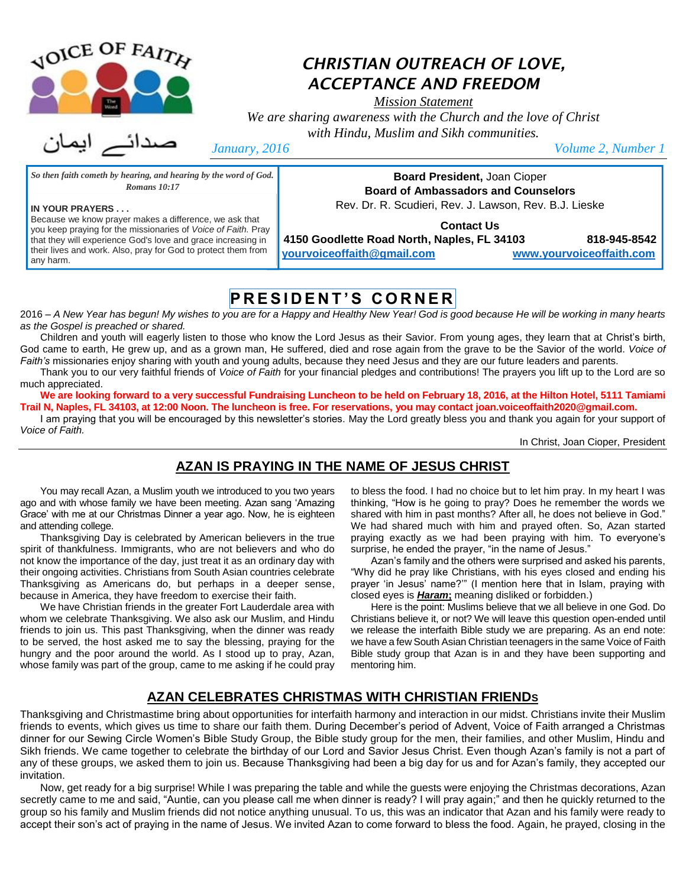

**IN YOUR PRAYERS . . .**

any harm.

## *CHRISTIAN OUTREACH OF LOVE, ACCEPTANCE AND FREEDOM*

*Mission Statement*

*We are sharing awareness with the Church and the love of Christ with Hindu, Muslim and Sikh communities.*

*So then faith cometh by hearing, and hearing by the word of God. Romans 10:17*

Because we know prayer makes a difference, we ask that you keep praying for the missionaries of *Voice of Faith.* Pray that they will experience God's love and grace increasing in their lives and work. Also, pray for God to protect them from

*January, 2016 Volume 2, Number 1*

**Board President,** Joan Cioper **Board of Ambassadors and Counselors** Rev. Dr. R. Scudieri, Rev. J. Lawson, Rev. B.J. Lieske

**Contact Us**

**4150 Goodlette Road North, Naples, FL 34103 818-945-8542**

**[yourvoiceoffaith@gmail.com](mailto:yourvoiceoffaith@gmail.com) [www.yourvoiceoffaith.com](http://www.yourvoiceoffaith.com/)**

# **P R E S I D E N T ' S C O R N E R**

2016 – *A New Year has begun! My wishes to you are for a Happy and Healthy New Year! God is good because He will be working in many hearts as the Gospel is preached or shared.* 

Children and youth will eagerly listen to those who know the Lord Jesus as their Savior. From young ages, they learn that at Christ's birth, God came to earth, He grew up, and as a grown man, He suffered, died and rose again from the grave to be the Savior of the world. *Voice of Faith's* missionaries enjoy sharing with youth and young adults, because they need Jesus and they are our future leaders and parents.

Thank you to our very faithful friends of *Voice of Faith* for your financial pledges and contributions! The prayers you lift up to the Lord are so much appreciated.

**We are looking forward to a very successful Fundraising Luncheon to be held on February 18, 2016, at the Hilton Hotel, 5111 Tamiami Trail N, Naples, FL 34103, at 12:00 Noon. The luncheon is free. For reservations, you may contact joan.voiceoffaith2020@gmail.com.**

I am praying that you will be encouraged by this newsletter's stories. May the Lord greatly bless you and thank you again for your support of *Voice of Faith.*

In Christ, Joan Cioper, President

### **AZAN IS PRAYING IN THE NAME OF JESUS CHRIST**

You may recall Azan, a Muslim youth we introduced to you two years ago and with whose family we have been meeting. Azan sang 'Amazing Grace' with me at our Christmas Dinner a year ago. Now, he is eighteen and attending college.

Thanksgiving Day is celebrated by American believers in the true spirit of thankfulness. Immigrants, who are not believers and who do not know the importance of the day, just treat it as an ordinary day with their ongoing activities. Christians from South Asian countries celebrate Thanksgiving as Americans do, but perhaps in a deeper sense, because in America, they have freedom to exercise their faith.

We have Christian friends in the greater Fort Lauderdale area with whom we celebrate Thanksgiving. We also ask our Muslim, and Hindu friends to join us. This past Thanksgiving, when the dinner was ready to be served, the host asked me to say the blessing, praying for the hungry and the poor around the world. As I stood up to pray, Azan, whose family was part of the group, came to me asking if he could pray to bless the food. I had no choice but to let him pray. In my heart I was thinking, "How is he going to pray? Does he remember the words we shared with him in past months? After all, he does not believe in God." We had shared much with him and prayed often. So, Azan started praying exactly as we had been praying with him. To everyone's surprise, he ended the prayer, "in the name of Jesus."

Azan's family and the others were surprised and asked his parents, "Why did he pray like Christians, with his eyes closed and ending his prayer 'in Jesus' name?'" (I mention here that in Islam, praying with closed eyes is *Haram***;** meaning disliked or forbidden.)

Here is the point: Muslims believe that we all believe in one God. Do Christians believe it, or not? We will leave this question open-ended until we release the interfaith Bible study we are preparing. As an end note: we have a few South Asian Christian teenagers in the same Voice of Faith Bible study group that Azan is in and they have been supporting and mentoring him.

#### **AZAN CELEBRATES CHRISTMAS WITH CHRISTIAN FRIENDS**

Thanksgiving and Christmastime bring about opportunities for interfaith harmony and interaction in our midst. Christians invite their Muslim friends to events, which gives us time to share our faith them. During December's period of Advent, Voice of Faith arranged a Christmas dinner for our Sewing Circle Women's Bible Study Group, the Bible study group for the men, their families, and other Muslim, Hindu and Sikh friends. We came together to celebrate the birthday of our Lord and Savior Jesus Christ. Even though Azan's family is not a part of any of these groups, we asked them to join us. Because Thanksgiving had been a big day for us and for Azan's family, they accepted our invitation.

Now, get ready for a big surprise! While I was preparing the table and while the guests were enjoying the Christmas decorations, Azan secretly came to me and said, "Auntie, can you please call me when dinner is ready? I will pray again;" and then he quickly returned to the group so his family and Muslim friends did not notice anything unusual. To us, this was an indicator that Azan and his family were ready to accept their son's act of praying in the name of Jesus. We invited Azan to come forward to bless the food. Again, he prayed, closing in the